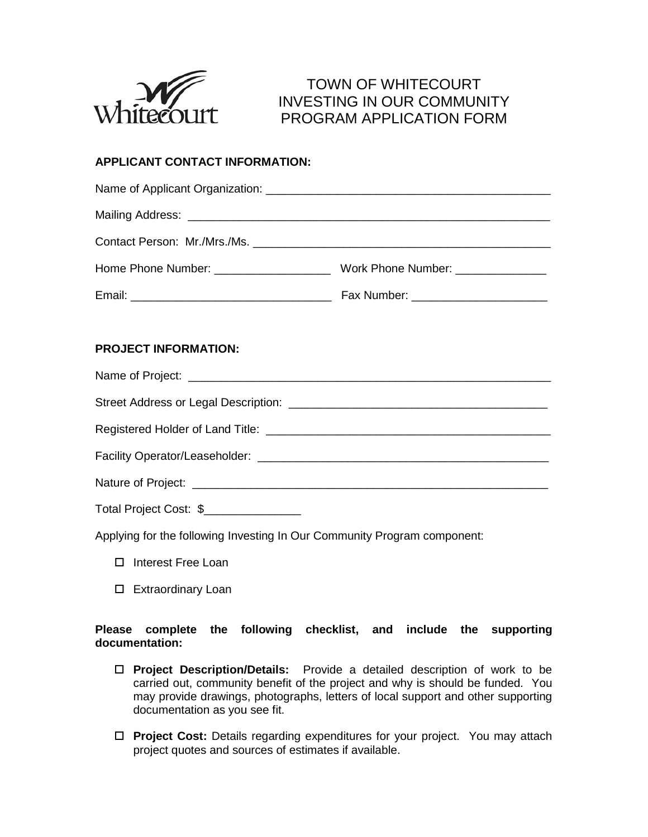

# TOWN OF WHITECOURT INVESTING IN OUR COMMUNITY PROGRAM APPLICATION FORM

# **APPLICANT CONTACT INFORMATION:**

### **PROJECT INFORMATION:**

Name of Project: **We also contain the set of the set of the set of the set of the set of the set of the set of the set of the set of the set of the set of the set of the set of the set of the set of the set of the set of t** Street Address or Legal Description: \_\_\_\_\_\_\_\_\_\_\_\_\_\_\_\_\_\_\_\_\_\_\_\_\_\_\_\_\_\_\_\_\_\_\_\_\_\_\_\_ Registered Holder of Land Title: \_\_\_\_\_\_\_\_\_\_\_\_\_\_\_\_\_\_\_\_\_\_\_\_\_\_\_\_\_\_\_\_\_\_\_\_\_\_\_\_\_\_\_\_ Facility Operator/Leaseholder: \_\_\_\_\_\_\_\_\_\_\_\_\_\_\_\_\_\_\_\_\_\_\_\_\_\_\_\_\_\_\_\_\_\_\_\_\_\_\_\_\_\_\_\_\_ Nature of Project: \_\_\_\_\_\_\_\_\_\_\_\_\_\_\_\_\_\_\_\_\_\_\_\_\_\_\_\_\_\_\_\_\_\_\_\_\_\_\_\_\_\_\_\_\_\_\_\_\_\_\_\_\_\_\_ Total Project Cost: \$

Applying for the following Investing In Our Community Program component:

- □ Interest Free Loan
- □ Extraordinary Loan

## **Please complete the following checklist, and include the supporting documentation:**

- **Project Description/Details:** Provide a detailed description of work to be carried out, community benefit of the project and why is should be funded. You may provide drawings, photographs, letters of local support and other supporting documentation as you see fit.
- **Project Cost:** Details regarding expenditures for your project. You may attach project quotes and sources of estimates if available.